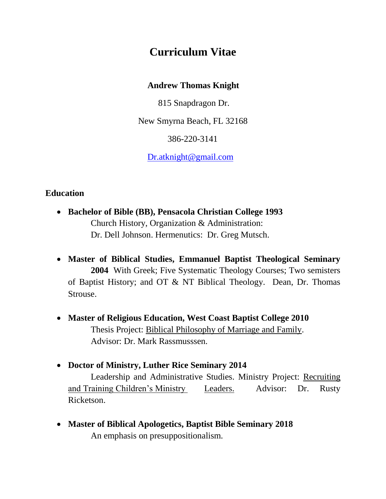# **Curriculum Vitae**

#### **Andrew Thomas Knight**

815 Snapdragon Dr.

New Smyrna Beach, FL 32168

386-220-3141

[Dr.atknight@gmail.com](mailto:Dr.atknight@gmail.com)

# **Education**

- **Bachelor of Bible (BB), Pensacola Christian College 1993** Church History, Organization & Administration: Dr. Dell Johnson. Hermenutics: Dr. Greg Mutsch.
- **Master of Biblical Studies, Emmanuel Baptist Theological Seminary 2004** With Greek; Five Systematic Theology Courses; Two semisters of Baptist History; and OT & NT Biblical Theology. Dean, Dr. Thomas Strouse.
- **Master of Religious Education, West Coast Baptist College 2010** Thesis Project: Biblical Philosophy of Marriage and Family. Advisor: Dr. Mark Rassmusssen.
- **Doctor of Ministry, Luther Rice Seminary 2014**

Leadership and Administrative Studies. Ministry Project: Recruiting and Training Children's Ministry Leaders. Advisor: Dr. Rusty Ricketson.

 **Master of Biblical Apologetics, Baptist Bible Seminary 2018** An emphasis on presuppositionalism.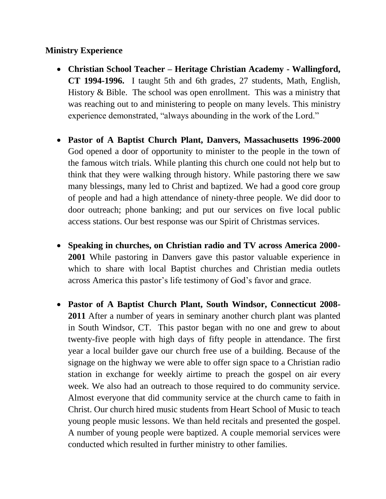## **Ministry Experience**

- **Christian School Teacher – Heritage Christian Academy - Wallingford, CT 1994-1996.** I taught 5th and 6th grades, 27 students, Math, English, History & Bible. The school was open enrollment. This was a ministry that was reaching out to and ministering to people on many levels. This ministry experience demonstrated, "always abounding in the work of the Lord."
- **Pastor of A Baptist Church Plant, Danvers, Massachusetts 1996-2000**  God opened a door of opportunity to minister to the people in the town of the famous witch trials. While planting this church one could not help but to think that they were walking through history. While pastoring there we saw many blessings, many led to Christ and baptized. We had a good core group of people and had a high attendance of ninety-three people. We did door to door outreach; phone banking; and put our services on five local public access stations. Our best response was our Spirit of Christmas services.
- **Speaking in churches, on Christian radio and TV across America 2000- 2001** While pastoring in Danvers gave this pastor valuable experience in which to share with local Baptist churches and Christian media outlets across America this pastor's life testimony of God's favor and grace.
- **Pastor of A Baptist Church Plant, South Windsor, Connecticut 2008- 2011** After a number of years in seminary another church plant was planted in South Windsor, CT. This pastor began with no one and grew to about twenty-five people with high days of fifty people in attendance. The first year a local builder gave our church free use of a building. Because of the signage on the highway we were able to offer sign space to a Christian radio station in exchange for weekly airtime to preach the gospel on air every week. We also had an outreach to those required to do community service. Almost everyone that did community service at the church came to faith in Christ. Our church hired music students from Heart School of Music to teach young people music lessons. We than held recitals and presented the gospel. A number of young people were baptized. A couple memorial services were conducted which resulted in further ministry to other families.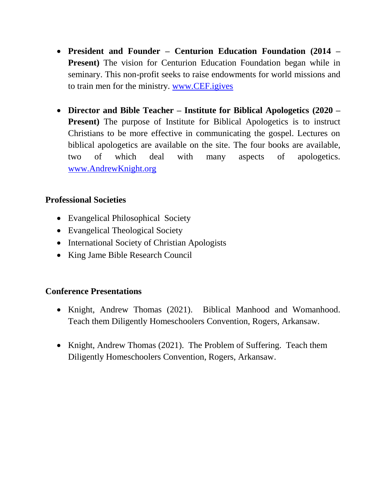- **President and Founder – Centurion Education Foundation (2014 – Present)** The vision for Centurion Education Foundation began while in seminary. This non-profit seeks to raise endowments for world missions and to train men for the ministry. [www.CEF.igives](http://www.cef.igives/)
- **Director and Bible Teacher – Institute for Biblical Apologetics (2020 – Present**) The purpose of Institute for Biblical Apologetics is to instruct Christians to be more effective in communicating the gospel. Lectures on biblical apologetics are available on the site. The four books are available, two of which deal with many aspects of apologetics. [www.AndrewKnight.org](http://www.excellentway.tv/)

## **Professional Societies**

- Evangelical Philosophical Society
- Evangelical Theological Society
- International Society of Christian Apologists
- King Jame Bible Research Council

#### **Conference Presentations**

- Knight, Andrew Thomas (2021). Biblical Manhood and Womanhood. Teach them Diligently Homeschoolers Convention, Rogers, Arkansaw.
- Knight, Andrew Thomas (2021). The Problem of Suffering. Teach them Diligently Homeschoolers Convention, Rogers, Arkansaw.